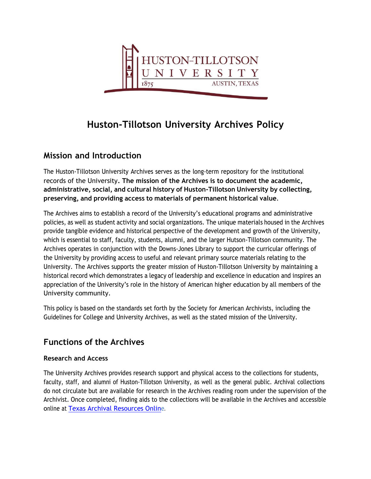

# **Huston-Tillotson University Archives Policy**

# **Mission and Introduction**

The Huston-Tillotson University Archives serves as the long-term repository for the institutional records of the University**. The mission of the Archives is to document the academic, administrative, social, and cultural history of Huston-Tillotson University by collecting, preserving, and providing access to materials of permanent historical value**.

The Archives aims to establish a record of the University's educational programs and administrative policies, as well as student activity and social organizations. The unique materials housed in the Archives provide tangible evidence and historical perspective of the development and growth of the University, which is essential to staff, faculty, students, alumni, and the larger Hutson-Tillotson community. The Archives operates in conjunction with the Downs-Jones Library to support the curricular offerings of the University by providing access to useful and relevant primary source materials relating to the University. The Archives supports the greater mission of Huston-Tillotson University by maintaining a historical record which demonstrates a legacy of leadership and excellence in education and inspires an appreciation of the University's role in the history of American higher education by all members of the University community.

This policy is based on the standards set forth by the Society for American Archivists, including the Guidelines for College and University Archives, as well as the stated mission of the University.

# **Functions of the Archives**

### **Research and Access**

The University Archives provides research support and physical access to the collections for students, faculty, staff, and alumni of Huston-Tillotson University, as well as the general public. Archival collections do not circulate but are available for research in the Archives reading room under the supervision of the Archivist. Once completed, finding aids to the collections will be available in the Archives and accessible online at [Texas Archival Resources Online](https://txarchives.org/repositories/htu).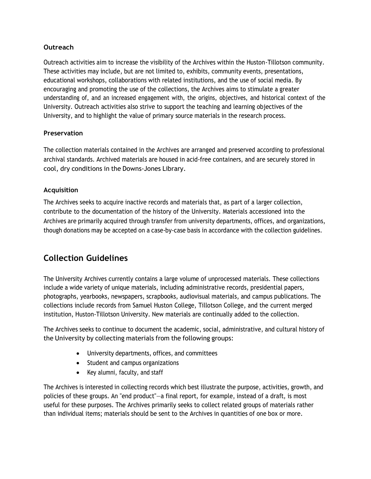#### **Outreach**

Outreach activities aim to increase the visibility of the Archives within the Huston-Tillotson community. These activities may include, but are not limited to, exhibits, community events, presentations, educational workshops, collaborations with related institutions, and the use of social media. By encouraging and promoting the use of the collections, the Archives aims to stimulate a greater understanding of, and an increased engagement with, the origins, objectives, and historical context of the University. Outreach activities also strive to support the teaching and learning objectives of the University, and to highlight the value of primary source materials in the research process.

#### **Preservation**

The collection materials contained in the Archives are arranged and preserved according to professional archival standards. Archived materials are housed in acid-free containers, and are securely stored in cool, dry conditions in the Downs-Jones Library.

### **Acquisition**

The Archives seeks to acquire inactive records and materials that, as part of a larger collection, contribute to the documentation of the history of the University. Materials accessioned into the Archives are primarily acquired through transfer from university departments, offices, and organizations, though donations may be accepted on a case-by-case basis in accordance with the collection guidelines.

# **Collection Guidelines**

The University Archives currently contains a large volume of unprocessed materials. These collections include a wide variety of unique materials, including administrative records, presidential papers, photographs, yearbooks, newspapers, scrapbooks, audiovisual materials, and campus publications. The collections include records from Samuel Huston College, Tillotson College, and the current merged institution, Huston-Tillotson University. New materials are continually added to the collection.

The Archives seeks to continue to document the academic, social, administrative, and cultural history of the University by collecting materials from the following groups:

- University departments, offices, and committees
- Student and campus organizations
- Key alumni, faculty, and staff

The Archives is interested in collecting records which best illustrate the purpose, activities, growth, and policies of these groups. An "end product"—a final report, for example, instead of a draft, is most useful for these purposes. The Archives primarily seeks to collect related groups of materials rather than individual items; materials should be sent to the Archives in quantities of one box or more.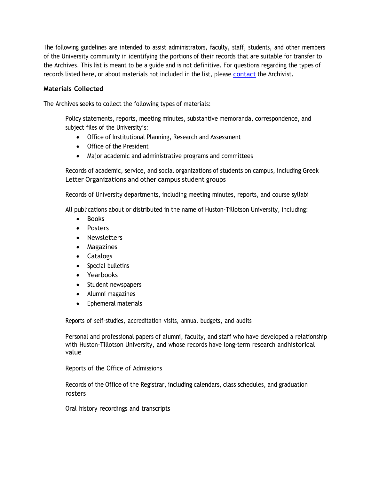The following guidelines are intended to assist administrators, faculty, staff, students, and other members of the University community in identifying the portions of their records that are suitable for transfer to the Archives. This list is meant to be a guide and is not definitive. For questions regarding the types of records listed here, or about materials not included in the list, please [contact](https://htu.edu/academics/library/about-the-library/staff) the Archivist.

#### **Materials Collected**

The Archives seeks to collect the following types of materials:

Policy statements, reports, meeting minutes, substantive memoranda, correspondence, and subject files of the University's:

- Office of Institutional Planning, Research and Assessment
- Office of the President
- Major academic and administrative programs and committees

Records of academic, service, and social organizations of students on campus, including Greek Letter Organizations and other campus student groups

Records of University departments, including meeting minutes, reports, and course syllabi

All publications about or distributed in the name of Huston-Tillotson University, including:

- Books
- Posters
- Newsletters
- Magazines
- Catalogs
- Special bulletins
- Yearbooks
- Student newspapers
- Alumni magazines
- Ephemeral materials

Reports of self-studies, accreditation visits, annual budgets, and audits

Personal and professional papers of alumni, faculty, and staff who have developed a relationship with Huston-Tillotson University, and whose records have long-term research andhistorical value

Reports of the Office of Admissions

Records of the Office of the Registrar, including calendars, class schedules, and graduation rosters

Oral history recordings and transcripts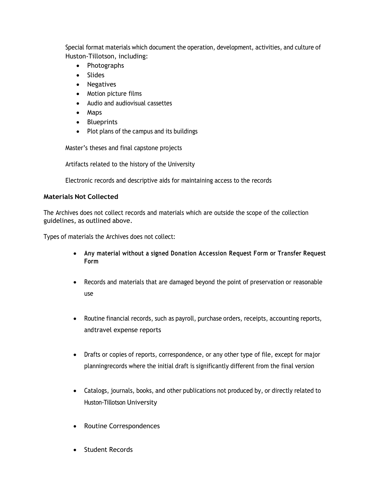Special format materials which document the operation, development, activities, and culture of Huston-Tillotson, including:

- Photographs
- Slides
- Negatives
- Motion picture films
- Audio and audiovisual cassettes
- Maps
- Blueprints
- Plot plans of the campus and its buildings

Master's theses and final capstone projects

Artifacts related to the history of the University

Electronic records and descriptive aids for maintaining access to the records

#### **Materials Not Collected**

The Archives does not collect records and materials which are outside the scope of the collection guidelines, as outlined above.

Types of materials the Archives does not collect:

- **Any material without a signed Donation Accession Request Form or Transfer Request Form**
- Records and materials that are damaged beyond the point of preservation or reasonable use
- Routine financial records, such as payroll, purchase orders, receipts, accounting reports, andtravel expense reports
- Drafts or copies of reports, correspondence, or any other type of file, except for major planningrecords where the initial draft is significantly different from the final version
- Catalogs, journals, books, and other publications not produced by, or directly related to Huston-Tillotson University
- Routine Correspondences
- Student Records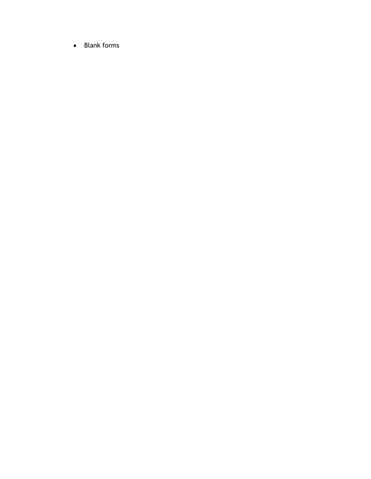• Blank forms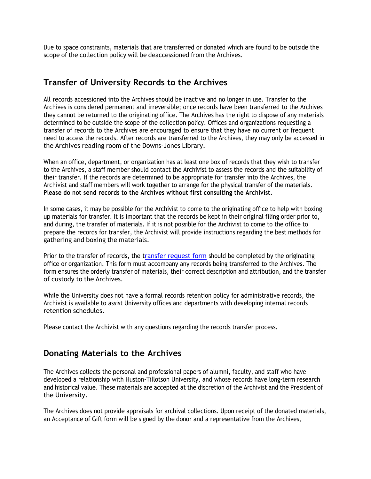Due to space constraints, materials that are transferred or donated which are found to be outside the scope of the collection policy will be deaccessioned from the Archives.

### **Transfer of University Records to the Archives**

All records accessioned into the Archives should be inactive and no longer in use. Transfer to the Archives is considered permanent and irreversible; once records have been transferred to the Archives they cannot be returned to the originating office. The Archives has the right to dispose of any materials determined to be outside the scope of the collection policy. Offices and organizations requesting a transfer of records to the Archives are encouraged to ensure that they have no current or frequent need to access the records. After records are transferred to the Archives, they may only be accessed in the Archives reading room of the Downs-Jones Library.

When an office, department, or organization has at least one box of records that they wish to transfer to the Archives, a staff member should contact the Archivist to assess the records and the suitability of their transfer. If the records are determined to be appropriate for transfer into the Archives, the Archivist and staff members will work together to arrange for the physical transfer of the materials. **Please do not send records to the Archives without first consulting the Archivist.**

In some cases, it may be possible for the Archivist to come to the originating office to help with boxing up materials for transfer. It is important that the records be kept in their original filing order prior to, and during, the transfer of materials. If it is not possible for the Archivist to come to the office to prepare the records for transfer, the Archivist will provide instructions regarding the best methods for gathering and boxing the materials.

Prior to the transfer of records, the [transfer request form](file:///C:/Users/bbrown/Downloads/Transfer%20Accession%20Form.%202022.pdf) should be completed by the originating office or organization. This form must accompany any records being transferred to the Archives. The form ensures the orderly transfer of materials, their correct description and attribution, and the transfer of custody to the Archives.

While the University does not have a formal records retention policy for administrative records, the Archivist is available to assist University offices and departments with developing internal records retention schedules.

Please contact the Archivist with any questions regarding the records transfer process.

### **Donating Materials to the Archives**

The Archives collects the personal and professional papers of alumni, faculty, and staff who have developed a relationship with Huston-Tillotson University, and whose records have long-term research and historical value. These materials are accepted at the discretion of the Archivist and the President of the University.

The Archives does not provide appraisals for archival collections. Upon receipt of the donated materials, an Acceptance of Gift form will be signed by the donor and a representative from the Archives,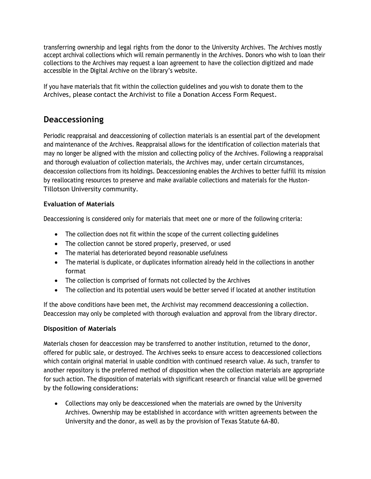transferring ownership and legal rights from the donor to the University Archives. The Archives mostly accept archival collections which will remain permanently in the Archives. Donors who wish to loan their collections to the Archives may request a loan agreement to have the collection digitized and made accessible in the Digital Archive on the library's website.

If you have materials that fit within the collection guidelines and you wish to donate them to the Archives, please contact the Archivist to file a Donation Access Form Request.

### **Deaccessioning**

Periodic reappraisal and deaccessioning of collection materials is an essential part of the development and maintenance of the Archives. Reappraisal allows for the identification of collection materials that may no longer be aligned with the mission and collecting policy of the Archives. Following a reappraisal and thorough evaluation of collection materials, the Archives may, under certain circumstances, deaccession collections from its holdings. Deaccessioning enables the Archives to better fulfill its mission by reallocating resources to preserve and make available collections and materials for the Huston-Tillotson University community.

### **Evaluation of Materials**

Deaccessioning is considered only for materials that meet one or more of the following criteria:

- The collection does not fit within the scope of the current collecting guidelines
- The collection cannot be stored properly, preserved, or used
- The material has deteriorated beyond reasonable usefulness
- The material is duplicate, or duplicates information already held in the collections in another format
- The collection is comprised of formats not collected by the Archives
- The collection and its potential users would be better served if located at another institution

If the above conditions have been met, the Archivist may recommend deaccessioning a collection. Deaccession may only be completed with thorough evaluation and approval from the library director.

#### **Disposition of Materials**

Materials chosen for deaccession may be transferred to another institution, returned to the donor, offered for public sale, or destroyed. The Archives seeks to ensure access to deaccessioned collections which contain original material in usable condition with continued research value. As such, transfer to another repository is the preferred method of disposition when the collection materials are appropriate for such action. The disposition of materials with significant research or financial value will be governed by the following considerations:

• Collections may only be deaccessioned when the materials are owned by the University Archives. Ownership may be established in accordance with written agreements between the University and the donor, as well as by the provision of Texas Statute 6A-80.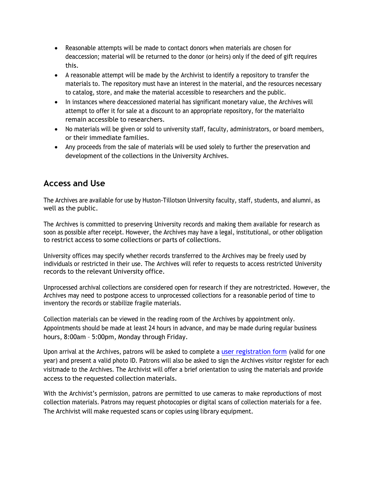- Reasonable attempts will be made to contact donors when materials are chosen for deaccession; material will be returned to the donor (or heirs) only if the deed of gift requires this.
- A reasonable attempt will be made by the Archivist to identify a repository to transfer the materials to. The repository must have an interest in the material, and the resources necessary to catalog, store, and make the material accessible to researchers and the public.
- In instances where deaccessioned material has significant monetary value, the Archives will attempt to offer it for sale at a discount to an appropriate repository, for the materialto remain accessible to researchers.
- No materials will be given or sold to university staff, faculty, administrators, or board members, or their immediate families.
- Any proceeds from the sale of materials will be used solely to further the preservation and development of the collections in the University Archives.

# **Access and Use**

The Archives are available for use by Huston-Tillotson University faculty, staff, students, and alumni, as well as the public.

The Archives is committed to preserving University records and making them available for research as soon as possible after receipt. However, the Archives may have a legal, institutional, or other obligation to restrict access to some collections or parts of collections.

University offices may specify whether records transferred to the Archives may be freely used by individuals or restricted in their use. The Archives will refer to requests to access restricted University records to the relevant University office.

Unprocessed archival collections are considered open for research if they are notrestricted. However, the Archives may need to postpone access to unprocessed collections for a reasonable period of time to inventory the records or stabilize fragile materials.

Collection materials can be viewed in the reading room of the Archives by appointment only. Appointments should be made at least 24 hours in advance, and may be made during regular business hours, 8:00am – 5:00pm, Monday through Friday.

Upon arrival at the Archives, patrons will be asked to complete a [user registration form](file:///C:/Users/bbrown/Downloads/User%20Registration%20Form.%202022.pdf) (valid for one year) and present a valid photo ID. Patrons will also be asked to sign the Archives visitor register for each visitmade to the Archives. The Archivist will offer a brief orientation to using the materials and provide access to the requested collection materials.

With the Archivist's permission, patrons are permitted to use cameras to make reproductions of most collection materials. Patrons may request photocopies or digital scans of collection materials for a fee. The Archivist will make requested scans or copies using library equipment.